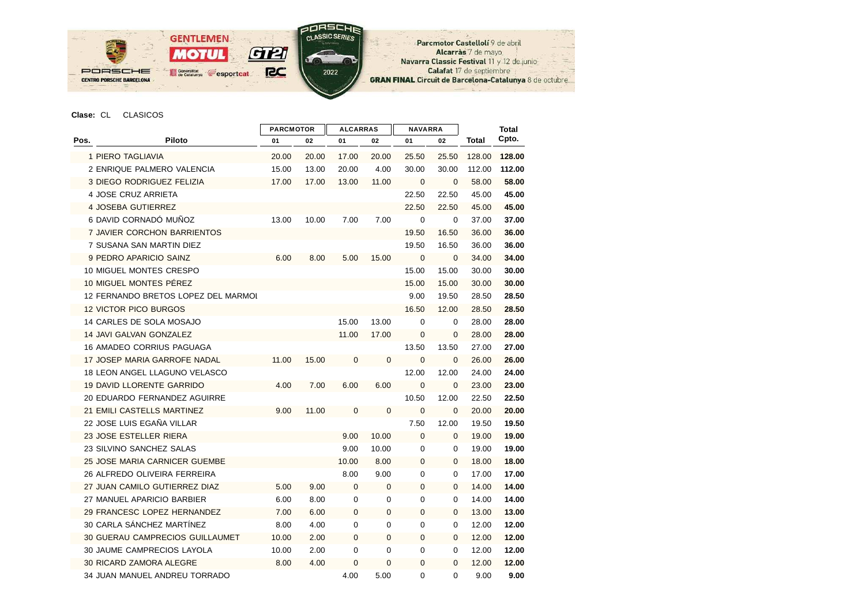

## **Clase:** CL CLASICOS

|      |                                        | <b>ALCARRAS</b><br><b>PARCMOTOR</b> |       |              | <b>NAVARRA</b> |                |              | <b>Total</b> |        |
|------|----------------------------------------|-------------------------------------|-------|--------------|----------------|----------------|--------------|--------------|--------|
| Pos. | Piloto                                 | 01                                  | 02    | 01           | 02             | 01             | 02           | Total        | Cpto.  |
|      | 1 PIERO TAGLIAVIA                      | 20.00                               | 20.00 | 17.00        | 20.00          | 25.50          | 25.50        | 128.00       | 128.00 |
|      | 2 ENRIQUE PALMERO VALENCIA             | 15.00                               | 13.00 | 20.00        | 4.00           | 30.00          | 30.00        | 112.00       | 112.00 |
|      | 3 DIEGO RODRIGUEZ FELIZIA              | 17.00                               | 17.00 | 13.00        | 11.00          | $\mathbf{0}$   | $\mathbf{0}$ | 58.00        | 58.00  |
|      | 4 JOSE CRUZ ARRIETA                    |                                     |       |              |                | 22.50          | 22.50        | 45.00        | 45.00  |
|      | 4 JOSEBA GUTIERREZ                     |                                     |       |              |                | 22.50          | 22.50        | 45.00        | 45.00  |
|      | 6 DAVID CORNADÓ MUÑOZ                  | 13.00                               | 10.00 | 7.00         | 7.00           | $\mathbf 0$    | $\mathbf 0$  | 37.00        | 37.00  |
|      | 7 JAVIER CORCHON BARRIENTOS            |                                     |       |              |                | 19.50          | 16.50        | 36.00        | 36.00  |
|      | 7 SUSANA SAN MARTIN DIEZ               |                                     |       |              |                | 19.50          | 16.50        | 36.00        | 36.00  |
|      | 9 PEDRO APARICIO SAINZ                 | 6.00                                | 8.00  | 5.00         | 15.00          | $\overline{0}$ | $\mathbf{0}$ | 34.00        | 34.00  |
|      | 10 MIGUEL MONTES CRESPO                |                                     |       |              |                | 15.00          | 15.00        | 30.00        | 30.00  |
|      | 10 MIGUEL MONTES PÉREZ                 |                                     |       |              |                | 15.00          | 15.00        | 30.00        | 30.00  |
|      | 12 FERNANDO BRETOS LOPEZ DEL MARMOI    |                                     |       |              |                | 9.00           | 19.50        | 28.50        | 28.50  |
|      | <b>12 VICTOR PICO BURGOS</b>           |                                     |       |              |                | 16.50          | 12.00        | 28.50        | 28.50  |
|      | 14 CARLES DE SOLA MOSAJO               |                                     |       | 15.00        | 13.00          | 0              | $\mathbf 0$  | 28.00        | 28.00  |
|      | 14 JAVI GALVAN GONZALEZ                |                                     |       | 11.00        | 17.00          | 0              | 0            | 28.00        | 28.00  |
|      | <b>16 AMADEO CORRIUS PAGUAGA</b>       |                                     |       |              |                | 13.50          | 13.50        | 27.00        | 27.00  |
|      | 17 JOSEP MARIA GARROFE NADAL           | 11.00                               | 15.00 | $\mathbf 0$  | $\mathbf{0}$   | $\mathbf{0}$   | $\mathbf{0}$ | 26.00        | 26.00  |
|      | <b>18 LEON ANGEL LLAGUNO VELASCO</b>   |                                     |       |              |                | 12.00          | 12.00        | 24.00        | 24.00  |
|      | <b>19 DAVID LLORENTE GARRIDO</b>       | 4.00                                | 7.00  | 6.00         | 6.00           | $\mathbf{0}$   | $\mathbf{0}$ | 23.00        | 23.00  |
|      | 20 EDUARDO FERNANDEZ AGUIRRE           |                                     |       |              |                | 10.50          | 12.00        | 22.50        | 22.50  |
|      | 21 EMILI CASTELLS MARTINEZ             | 9.00                                | 11.00 | $\mathbf 0$  | $\mathbf 0$    | $\mathbf 0$    | $\mathbf{0}$ | 20.00        | 20.00  |
|      | 22 JOSE LUIS EGAÑA VILLAR              |                                     |       |              |                | 7.50           | 12.00        | 19.50        | 19.50  |
|      | 23 JOSE ESTELLER RIERA                 |                                     |       | 9.00         | 10.00          | $\mathbf 0$    | $\mathbf{0}$ | 19.00        | 19.00  |
|      | 23 SILVINO SANCHEZ SALAS               |                                     |       | 9.00         | 10.00          | 0              | $\mathbf 0$  | 19.00        | 19.00  |
|      | 25 JOSE MARIA CARNICER GUEMBE          |                                     |       | 10.00        | 8.00           | $\mathbf{0}$   | $\Omega$     | 18.00        | 18.00  |
|      | 26 ALFREDO OLIVEIRA FERREIRA           |                                     |       | 8.00         | 9.00           | 0              | $\mathbf 0$  | 17.00        | 17.00  |
|      | 27 JUAN CAMILO GUTIERREZ DIAZ          | 5.00                                | 9.00  | $\mathbf 0$  | $\mathbf 0$    | 0              | $\mathbf{0}$ | 14.00        | 14.00  |
|      | 27 MANUEL APARICIO BARBIER             | 6.00                                | 8.00  | 0            | 0              | 0              | 0            | 14.00        | 14.00  |
|      | 29 FRANCESC LOPEZ HERNANDEZ            | 7.00                                | 6.00  | 0            | 0              | 0              | $\mathbf{0}$ | 13.00        | 13.00  |
|      | 30 CARLA SÁNCHEZ MARTÍNEZ              | 8.00                                | 4.00  | 0            | 0              | 0              | 0            | 12.00        | 12.00  |
|      | <b>30 GUERAU CAMPRECIOS GUILLAUMET</b> | 10.00                               | 2.00  | 0            | 0              | 0              | $\mathbf{0}$ | 12.00        | 12.00  |
|      | 30 JAUME CAMPRECIOS LAYOLA             | 10.00                               | 2.00  | 0            | 0              | 0              | 0            | 12.00        | 12.00  |
|      | 30 RICARD ZAMORA ALEGRE                | 8.00                                | 4.00  | $\mathbf{0}$ | 0              | 0              | $\mathbf{0}$ | 12.00        | 12.00  |
|      | 34 JUAN MANUEL ANDREU TORRADO          |                                     |       | 4.00         | 5.00           | 0              | 0            | 9.00         | 9.00   |